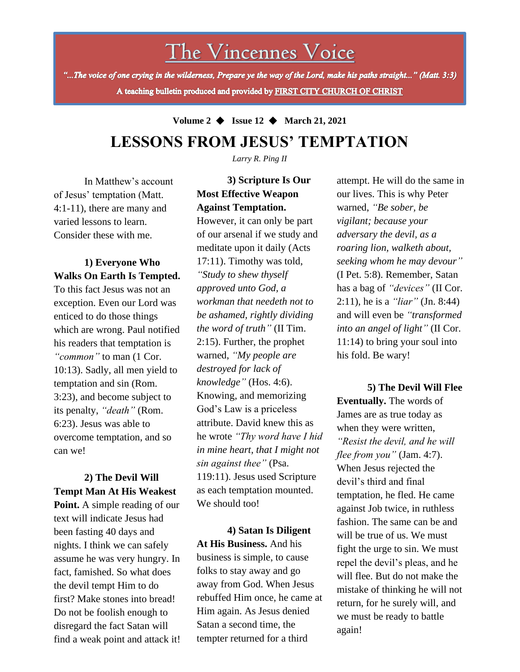The Vincennes Voice

"...The voice of one crying in the wilderness, Prepare ye the way of the Lord, make his paths straight..." (Matt. 3:3) A teaching bulletin produced and provided by FIRST CITY CHURCH OF CHRIST

**Volume 2** ◆ **Issue 12** ◆ **March 21, 2021**

# **LESSONS FROM JESUS' TEMPTATION**

*Larry R. Ping II*

In Matthew's account of Jesus' temptation (Matt. 4:1-11), there are many and varied lessons to learn. Consider these with me.

#### **1) Everyone Who Walks On Earth Is Tempted.**

To this fact Jesus was not an exception. Even our Lord was enticed to do those things which are wrong. Paul notified his readers that temptation is *"common"* to man (1 Cor. 10:13). Sadly, all men yield to temptation and sin (Rom. 3:23), and become subject to its penalty, *"death"* (Rom. 6:23). Jesus was able to overcome temptation, and so can we!

the devil tempt Him to do **2) The Devil Will Tempt Man At His Weakest Point.** A simple reading of our text will indicate Jesus had been fasting 40 days and nights. I think we can safely assume he was very hungry. In fact, famished. So what does first? Make stones into bread! Do not be foolish enough to disregard the fact Satan will find a weak point and attack it!

## **3) Scripture Is Our Most Effective Weapon Against Temptation.**

However, it can only be part of our arsenal if we study and meditate upon it daily (Acts 17:11). Timothy was told, *"Study to shew thyself approved unto God, a workman that needeth not to be ashamed, rightly dividing the word of truth"* (II Tim. 2:15). Further, the prophet warned, *"My people are destroyed for lack of knowledge"* (Hos. 4:6). Knowing, and memorizing God's Law is a priceless attribute. David knew this as he wrote *"Thy word have I hid in mine heart, that I might not sin against thee"* (Psa. 119:11). Jesus used Scripture as each temptation mounted. We should too!

**4) Satan Is Diligent At His Business.** And his business is simple, to cause folks to stay away and go away from God. When Jesus rebuffed Him once, he came at Him again. As Jesus denied Satan a second time, the tempter returned for a third

attempt. He will do the same in our lives. This is why Peter warned, *"Be sober, be vigilant; because your adversary the devil, as a roaring lion, walketh about, seeking whom he may devour"* (I Pet. 5:8). Remember, Satan has a bag of *"devices"* (II Cor. 2:11), he is a *"liar"* (Jn. 8:44) and will even be *"transformed into an angel of light"* (II Cor. 11:14) to bring your soul into his fold. Be wary!

**5) The Devil Will Flee Eventually.** The words of James are as true today as when they were written, *"Resist the devil, and he will flee from you"* (Jam. 4:7). When Jesus rejected the devil's third and final temptation, he fled. He came against Job twice, in ruthless fashion. The same can be and will be true of us. We must fight the urge to sin. We must repel the devil's pleas, and he will flee. But do not make the mistake of thinking he will not return, for he surely will, and we must be ready to battle again!